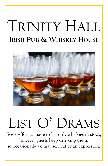## TRINITY HALL **IRISH PUB & WHISKEY HOUSE**



# LIST O' DRAMS

Every effort is made to list only whiskies in stock, however guests keep drinking them, so occasionally we may sell out of an expression.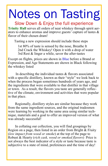# Notes on Tasting

Slow Down & Enjoy the full experience **Trinity Hall** serves all orders of neat whiskey through spirit aerators to enhance aromas and improve guests' capture of tastes & flavor of their chosen dram!

Tasting a new expression should include these steps

1st 80% of taste is sensed by the nose, Breathe It 2nd Crack the Whiskey! Open it with a drop of water 3rd Rest & linger a while, savor the after-tastes

Except on flights, prices are shown in Blue before a Brand or Expression, and Age Statements are shown in Black following the whiskey listed

 In describing the individual tastes & flavors associated with a specific distillery, known as their "style" we look back to when the process began sometimes hundreds of years ago, and the ingredients that were available to that distiller in that village or town. As a result, the flavors you taste are generally reflective of the climate, environment and activities that were popular in that place.

 Regionally, distillery styles are similar because they work from the same ingredient sources, and the original tradesmen were learning by working in the same area using similar technique, materials and a goal to offer an improved version of what was already successful!

 In collating our collection, you will find groupings by Region on a page, then listed in an order from Bright & Fruity (*low impact from wood or smoke*) at the top of the page to Robust & Hearty (*rich cask, wood or smoked flavors*) Price is not always the best indicator of a style or taste because taste is subjective to a state of mind, preferences and the time of day!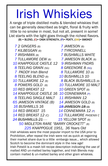## Irish Whiskies

A range of triple distilled malts & blended whiskies that can be generally described as bright, floral & fruity with little to no smoke in most, but not all, present in some! List starts with the light goes through the richest flavors.  $(B)$  = BLEND,  $(C)$  = CASK STRENGTH,  $(P)$  = PEATY,  $(SM)$  = SMOKEY

 *2 GINGERS (B) 7 JAMESON (B) KILBEGGAN (B) 7 TYRCONNELL IRISHMAN (B) 7 BUSHMILLS WHITE TULLAMORE DEW (B) 7 JAMESON BLACK (B) KNAPPOGUE CASTLE 12 9 IRISHMAN FNDRS TEELING GRAIN (SG) 8 GREENORE 8 (SG) 7 PADDY Irish Blend 8 TULLAMORE 10 (B) TEELING BLEND (B) 10 BUSHMILLS 10 TULLAMORE 12 (B) 8 BLACK BUSHMILLS (B) POWERS GOLD (B) 10 TULLAMORE 10 MALT 10 RED BREAST 12 10 GREEN SPOT (B) KNAPPOGUE CASTLE 16 10 CONNEMARA (P) TEELING SINGLE MALT 11 IRISHMAN 12 JAMESON VINTAGE (B) 14 JAMESON GOLD (B) BUSHMILLS 16 18 JAMESON 18 (B) RED BREAST 15 14 CONNEMARA 12 (P) RED BREAST 12 (C) 12 TULLAMORE PHOENIX C BUSHMILLS 21 15 YELLOW SPOT (B) MIDLETON RARE "BARRY CROCKETT" (B) KNAPPOGUE 1951, 36 Years Old* 

Irish whiskies were the most popular import to the USA prior to Prohibition, after repeal the Irish were not as quick at regaining their market share due to a little embargo issue… which allowed Scotch to become the dominant style in the new age! Irish Potstill is a mash bill recipe description indicating the use of malted AND un-malted barley together, and Irish Blends may contain malted & un-malted barley and other grain whiskies.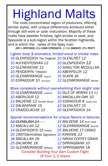# Highland Malts

 The most concentrated region of producers, offering similar styles, with unique differences achieved either through still work or cask maturation. Majority of these malts have sweeter finishes, light smoke or peat, and Speyside is a sub-region within the Scottish highlands, and is within the valley of the Spey river.

 $(SP)$  = SPEYSIDE,  $(C)$  = CASK STRENGTH,  $(SM)$  = SMOKEY,  $(P)$  = PEATY

*Lighter body & aromatics, limited wood or smoke notes 16 GLENFIDDICH The Original 10 GLENLIVET 12*

*10 AUCHENTOSHAN 12 10 GLENFIDDICH 12 10 GLENKINCHIE 12 10 SINGL'TON MCDULLAN 10 PENDERYN \*(Welsh) 10 ABERFELDY 12 10 GLENMORANGIE Original 15 SCAPA 16*

- 
- *10 EDRADOUR 10 Standard 12 GLENMORANGIE Nectar*

*More complexity without overwhelming their bright note*

*10 GLENMORANGIE Lasanta 10 ISLE OF ARRAN 13 (c) 10 ABERLOUR 12 10 MACALLAN OAK 10 12 BALVENIE 12 Double Wood 10 EDRADOUR 8 Single Cask 12 DALWHINNIE 15 12 GLENLIVET 15 12 CRAIGELACHIE 13 20 GLENFIDDICH 14*

*Special recommendations for unique flavors or textures 12 CLYNELISH 14 14 BALVENIE 14 Rum Cask 12 MACALLAN 12 12 GLENMORANGIE Quinta 14 GLENFIDDICH 15 Solera 25 BALVENIE 17 CASKS 30 1997Glenrothes Signatory 30 KININVIE 23 38 MACALLAN 18 12 NIKKA COFFEY GRAIN 25 DALMORE 18 12 SPRINGBANK 10 22 GLENMORANGIE Milsean 30 SPRINGBANK 18 Consider Building Your Own Custom Flight Of Four 1/2 drams*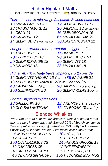#### Richer Highland Malts (SP) = SPEYSIDE, (C) = CASK STRENGTH, (SM)= SMOKEY, (P)= PEATY

| This selection is mid-range full palate & wood balanced |                            |
|---------------------------------------------------------|----------------------------|
| 18 MACALLAN 15 OAK                                      | 12 GLENDRONACH 12          |
| <b>12 CRAGGANMORE 12</b>                                | 20 BALVENIE 12 SINGLE CASK |
| 14 OBAN 14                                              | <b>16 GLENDRONACH 15</b>   |
| <b>12 DALMORE 12</b>                                    | 65 MACALLAN OAK 21         |
| 14 GLENFIDDICH Malt Master                              | 30 AUCHENTOSHAN 21         |

#### *Longer maturation, more aromatics, bigger bodied*

*16 ABERLOUR 16 17 DALMORE 15 20 GLENFIDDICH 18 20 GLENFIDDICH 21 20 GLENMORANGIE 18 20 GLENLIVET 18 40 DALMORE 18 38 MACALLAN 18*

#### *Higher ABV %'s, huge barrel impacts, sip & consider 15 GLENLIVET NADURA 16 Year* (C) *35 BALVENIE 21 18 ABERLOUR A'BUNDADH* © *225 MACALLAN 25 48 DALWHINNIE 29* (C) *20 BALVENIE 15 SINGLE* (C) *100 GLENFIDDICH 26 20 GLENFARCLAS 105* (C)

#### *Peated Highland expressions*

*12 BALLECHIN 10 12 ARDMORE The Legacy 12 OLD BALLANTRUAN 12 CU BOCAN (Tomatin)*

### Blended Whiskies

*When you want to hear the full orchestra that is Scotland rather than a single instrument, think Blends! 95% of Scotch consumed We carry full lines of varying maturities, J&B, Cutty Sark, Dewars, Chivas Regal, Johnnie Walker, Plus these lesser known too!*

- *8 MONKEY SHOULDER 10 AYSLA, CB 12 DEWARS 15 8 BLACK GROUSE 100 QUENDECIMUS CB 14 FAMOUS GROUSE 18 12 OAK CROSS CB 12 THE FEATHERLY 10 GREAT KING STREET 12 SPICE TREE, CB 40 DEWARS SIGNATURE 155 HEDONISM MAXIMUS*
- -
	-
	-
	-
	-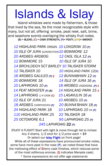## Islands & Islay

Island whiskies were made by fishermen, & those that lived by the sea, Its the most recognizable style with many, but not all, offering smoke, peat reek, salt, brine, and seashore scents overlaying the whisky fruit notes.  $(B)$  = BLEND,  $(C)$  = CASK STRENGTH,  $(P)$ = PEATY,  $(SM)$ = SMOKEY

 HIGHLAND PARK ORIGIN *10 LONGROW 10 (P) ISLE OF JURA SUPERSTITION10 BOWMORE 12 ARDBEG ARDBOG 12 CAOL ISLA 12 (P) BOWMORE 15 10 ISLE OF JURA 10 14 BRCHLDDCH SCT BARLEY 10 TALISKER STORM TALISKER 10 10 HIGHLAND PARK 12(P) ARDBEG GALILEO (P) S 12 BUNNABHAIN 12 (P) BOWMORE 18 14 ISLE OF JURA 16 (P) LAPHROAIG 10 (P) 18 ARDBEG UIGEADAIL (P) S 14 PEAT MONSTER (P) (B) 14 HIGHLAND PARK 15 S LAPHROAIG 1/4 CASK (C) 15 LAGAVULIN 16 (P) 22 ISLE OF JURA 21 10 ARDBEG 10 (P) ARDBEG CORRYVECKN (P) 20 BUNNA'BHAIN 18 (P) HIGHLAND PARK 18 10 LAPHROAIG 10 CK (P) HIGHLAND PARK 25 22 TALISKER 18 OCTOMORE 6.1 95 LAPHROAIG 25 (P)*

*245 LAPHROAIG 32 (P)*

ENJOY A FLIGHT! Start with light & move through list to richest *Any 4 drams, 1/2 shot for 1/2 price each + \$8* Or select our Islay Flight on front page! While all of these expressions have pronounced smoke notes, some have more peat in the nose  $(P)$ , we noted those that have the mellowing effect of Sherry cask finishes, which reduces some of the most odiferous aromas. (S indicates Marsala cask) *\* Some expressions do not offer age statements*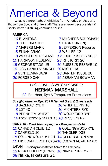### America & Beyond

 What is different about whiskies from America or Asia and those from Scotland or Ireland? There are fewer because Irish & Scots started distilling centuries earlier!

### AMERICA -

- 
- 
- 
- *8* ELIJAH CRAIG *8* WELLER 12
- 
- *10* HARRISON RESERVE *28* RHETORIC 20
- 
- *10* JACK DANIELS' SINGLE *10* MICHTERS
- 
- 
- *10* BLANTONS *7* MItCHERS SOURMASH
	- *9* OLD FORESTER *8* HARRISON (IN)
	- *7* MAKERS MARK *9* JEFFERSON Reserve
		-
	- *8* WOODFORD RESERVE *12* FOUR ROSES SINGLE
		-
- *15* GEORGE STAGG JR *10* RUSSEL'S RESRVE 10
	-
- *9* GENTLEMAN JACK *28* BARTERHOUSE 20
- **20 FORGED OAK 15 ABRAHAM BOWMAN**

#### LOCAL DALLAS WHISKEY MAKER HERMAN MARSHALL

*12* Bourbon, Rye & Temptress Expressions

*Straight Wheat or Rye: 75+% Named Grain & 2 years age* 

- 
- 
- *8* BERNHEIM WHEAT *10* WOODFORD RYE
- *8* SAZERAC RYE 6 *10* WHISTLE PIG 10  *8* LOT 40 *10* MICHTERS RYE
	-

18 LOCK, STOCK & BARREL 13 *10* RUSSEL'S RYE

CANADA - *Rye & blend styles, more than just cocktails! 10* CANADIAN CLUB 12 *8* COLLINGWOOD RYE **7 DANFIELD 10 10 TANGLERIDGE** *15* COLLINGWOOD RYE 21 14 GLEN BRETON Malt *10* PIKE CREEK PORT CASK10 CROWN ROYAL MAPLE JAPAN - *Distilling for centuries before the Americas!*

*12* NIKKA COFFEY (GRAIN) *16* NIKKA PURE MALT *38* Nikka,Taketsura 21